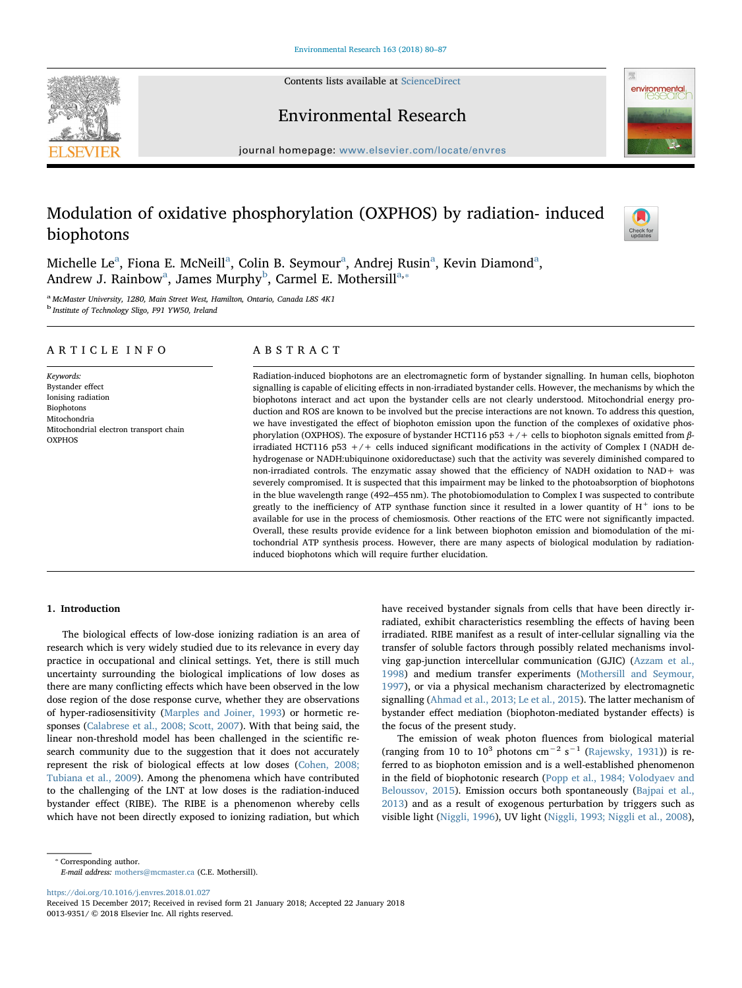Contents lists available at [ScienceDirect](http://www.sciencedirect.com/science/journal/00139351)







journal homepage: [www.elsevier.com/locate/envres](https://www.elsevier.com/locate/envres)

# Modulation of oxidative phosphorylation (OXPHOS) by radiation- induced biophotons



Michelle Le<sup>[a](#page-0-0)</sup>, Fiona E. McNeill<sup>a</sup>, Colin B. Seymour<sup>a</sup>, Andrej Rusin<sup>a</sup>, Kevin Diamond<sup>a</sup>, Andrew J. R[a](#page-0-0)in[b](#page-0-1)ow<sup>a</sup>, James Murphy<sup>b</sup>, Carmel E. Mothersill<sup>[a,](#page-0-0)\*</sup>

<span id="page-0-1"></span><span id="page-0-0"></span><sup>a</sup> McMaster University, 1280, Main Street West, Hamilton, Ontario, Canada L8S 4K1 <sup>b</sup> Institute of Technology Sligo, F91 YW50, Ireland

## ARTICLE INFO

Keywords: Bystander effect Ionising radiation Biophotons Mitochondria Mitochondrial electron transport chain **OXPHOS** 

# ABSTRACT

Radiation-induced biophotons are an electromagnetic form of bystander signalling. In human cells, biophoton signalling is capable of eliciting effects in non-irradiated bystander cells. However, the mechanisms by which the biophotons interact and act upon the bystander cells are not clearly understood. Mitochondrial energy production and ROS are known to be involved but the precise interactions are not known. To address this question, we have investigated the effect of biophoton emission upon the function of the complexes of oxidative phosphorylation (OXPHOS). The exposure of bystander HCT116 p53 +/+ cells to biophoton signals emitted from βirradiated HCT116 p53  $+/+$  cells induced significant modifications in the activity of Complex I (NADH dehydrogenase or NADH:ubiquinone oxidoreductase) such that the activity was severely diminished compared to non-irradiated controls. The enzymatic assay showed that the efficiency of NADH oxidation to NAD+ was severely compromised. It is suspected that this impairment may be linked to the photoabsorption of biophotons in the blue wavelength range (492–455 nm). The photobiomodulation to Complex I was suspected to contribute greatly to the inefficiency of ATP synthase function since it resulted in a lower quantity of  $H^+$  ions to be available for use in the process of chemiosmosis. Other reactions of the ETC were not significantly impacted. Overall, these results provide evidence for a link between biophoton emission and biomodulation of the mitochondrial ATP synthesis process. However, there are many aspects of biological modulation by radiationinduced biophotons which will require further elucidation.

## 1. Introduction

The biological effects of low-dose ionizing radiation is an area of research which is very widely studied due to its relevance in every day practice in occupational and clinical settings. Yet, there is still much uncertainty surrounding the biological implications of low doses as there are many conflicting effects which have been observed in the low dose region of the dose response curve, whether they are observations of hyper-radiosensitivity ([Marples and Joiner, 1993](#page-7-0)) or hormetic responses ([Calabrese et al., 2008; Scott, 2007](#page-6-0)). With that being said, the linear non-threshold model has been challenged in the scientific research community due to the suggestion that it does not accurately represent the risk of biological effects at low doses ([Cohen, 2008;](#page-6-1) [Tubiana et al., 2009](#page-6-1)). Among the phenomena which have contributed to the challenging of the LNT at low doses is the radiation-induced bystander effect (RIBE). The RIBE is a phenomenon whereby cells which have not been directly exposed to ionizing radiation, but which

have received bystander signals from cells that have been directly irradiated, exhibit characteristics resembling the effects of having been irradiated. RIBE manifest as a result of inter-cellular signalling via the transfer of soluble factors through possibly related mechanisms involving gap-junction intercellular communication (GJIC) [\(Azzam et al.,](#page-6-2) [1998\)](#page-6-2) and medium transfer experiments ([Mothersill and Seymour,](#page-7-1) [1997\)](#page-7-1), or via a physical mechanism characterized by electromagnetic signalling ([Ahmad et al., 2013; Le et al., 2015\)](#page-6-3). The latter mechanism of bystander effect mediation (biophoton-mediated bystander effects) is the focus of the present study.

The emission of weak photon fluences from biological material (ranging from 10 to  $10^3$  photons cm<sup>-2</sup> s<sup>-1</sup> ([Rajewsky, 1931\)](#page-7-2)) is referred to as biophoton emission and is a well-established phenomenon in the field of biophotonic research [\(Popp et al., 1984; Volodyaev and](#page-7-3) [Beloussov, 2015](#page-7-3)). Emission occurs both spontaneously [\(Bajpai et al.,](#page-6-4) [2013\)](#page-6-4) and as a result of exogenous perturbation by triggers such as visible light ([Niggli, 1996](#page-7-4)), UV light [\(Niggli, 1993; Niggli et al., 2008](#page-7-5)),

<span id="page-0-2"></span>⁎ Corresponding author.

E-mail address: [mothers@mcmaster.ca](mailto:mothers@mcmaster.ca) (C.E. Mothersill).

<https://doi.org/10.1016/j.envres.2018.01.027>

Received 15 December 2017; Received in revised form 21 January 2018; Accepted 22 January 2018 0013-9351/ © 2018 Elsevier Inc. All rights reserved.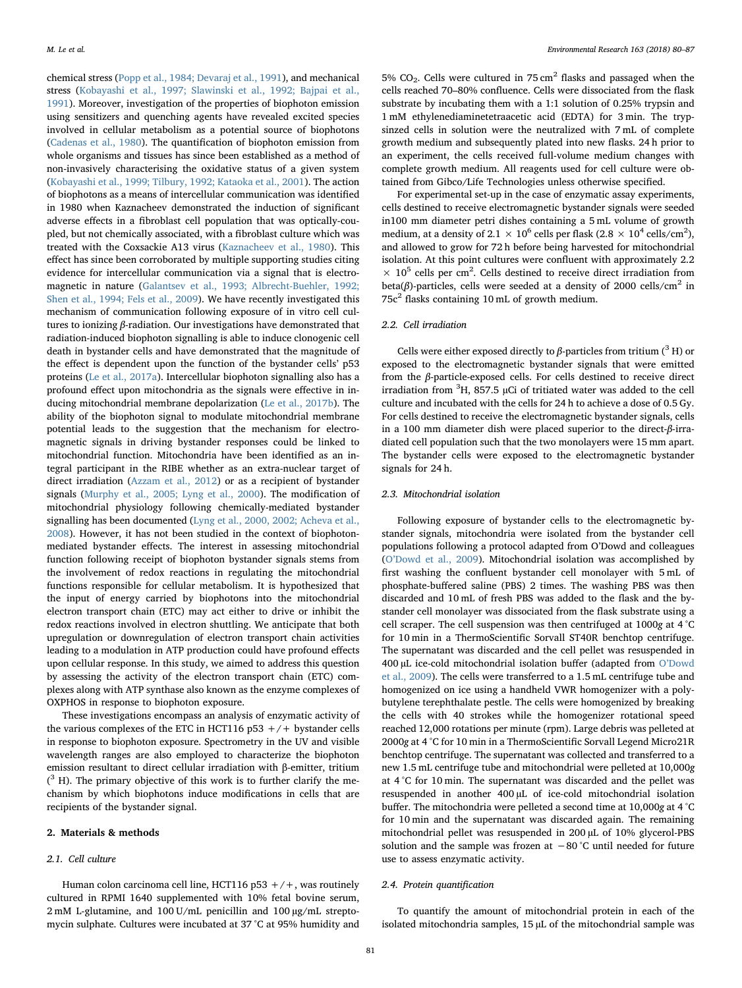chemical stress [\(Popp et al., 1984; Devaraj et al., 1991](#page-7-3)), and mechanical stress ([Kobayashi et al., 1997; Slawinski et al., 1992; Bajpai et al.,](#page-7-6) [1991\)](#page-7-6). Moreover, investigation of the properties of biophoton emission using sensitizers and quenching agents have revealed excited species involved in cellular metabolism as a potential source of biophotons ([Cadenas et al., 1980\)](#page-6-5). The quantification of biophoton emission from whole organisms and tissues has since been established as a method of non-invasively characterising the oxidative status of a given system ([Kobayashi et al., 1999; Tilbury, 1992; Kataoka et al., 2001\)](#page-7-7). The action of biophotons as a means of intercellular communication was identified in 1980 when Kaznacheev demonstrated the induction of significant adverse effects in a fibroblast cell population that was optically-coupled, but not chemically associated, with a fibroblast culture which was treated with the Coxsackie A13 virus ([Kaznacheev et al., 1980](#page-7-8)). This effect has since been corroborated by multiple supporting studies citing evidence for intercellular communication via a signal that is electromagnetic in nature [\(Galantsev et al., 1993; Albrecht-Buehler, 1992;](#page-7-9) [Shen et al., 1994; Fels et al., 2009\)](#page-7-9). We have recently investigated this mechanism of communication following exposure of in vitro cell cultures to ionizing β-radiation. Our investigations have demonstrated that radiation-induced biophoton signalling is able to induce clonogenic cell death in bystander cells and have demonstrated that the magnitude of the effect is dependent upon the function of the bystander cells' p53 proteins ([Le et al., 2017a](#page-7-10)). Intercellular biophoton signalling also has a profound effect upon mitochondria as the signals were effective in inducing mitochondrial membrane depolarization [\(Le et al., 2017b\)](#page-7-11). The ability of the biophoton signal to modulate mitochondrial membrane potential leads to the suggestion that the mechanism for electromagnetic signals in driving bystander responses could be linked to mitochondrial function. Mitochondria have been identified as an integral participant in the RIBE whether as an extra-nuclear target of direct irradiation [\(Azzam et al., 2012](#page-6-6)) or as a recipient of bystander signals ([Murphy et al., 2005; Lyng et al., 2000\)](#page-7-12). The modification of mitochondrial physiology following chemically-mediated bystander signalling has been documented [\(Lyng et al., 2000, 2002; Acheva et al.,](#page-7-13) [2008\)](#page-7-13). However, it has not been studied in the context of biophotonmediated bystander effects. The interest in assessing mitochondrial function following receipt of biophoton bystander signals stems from the involvement of redox reactions in regulating the mitochondrial functions responsible for cellular metabolism. It is hypothesized that the input of energy carried by biophotons into the mitochondrial electron transport chain (ETC) may act either to drive or inhibit the redox reactions involved in electron shuttling. We anticipate that both upregulation or downregulation of electron transport chain activities leading to a modulation in ATP production could have profound effects upon cellular response. In this study, we aimed to address this question by assessing the activity of the electron transport chain (ETC) complexes along with ATP synthase also known as the enzyme complexes of OXPHOS in response to biophoton exposure.

These investigations encompass an analysis of enzymatic activity of the various complexes of the ETC in HCT116 p53  $+/+$  bystander cells in response to biophoton exposure. Spectrometry in the UV and visible wavelength ranges are also employed to characterize the biophoton emission resultant to direct cellular irradiation with β-emitter, tritium  $(^3$  H). The primary objective of this work is to further clarify the mechanism by which biophotons induce modifications in cells that are recipients of the bystander signal.

## 2. Materials & methods

## 2.1. Cell culture

Human colon carcinoma cell line, HCT116 p53  $+/+$ , was routinely cultured in RPMI 1640 supplemented with 10% fetal bovine serum, 2 mM L-glutamine, and 100 U/mL penicillin and 100 µg/mL streptomycin sulphate. Cultures were incubated at 37 °C at 95% humidity and

5%  $CO<sub>2</sub>$ . Cells were cultured in 75 cm<sup>2</sup> flasks and passaged when the cells reached 70–80% confluence. Cells were dissociated from the flask substrate by incubating them with a 1:1 solution of 0.25% trypsin and 1 mM ethylenediaminetetraacetic acid (EDTA) for 3 min. The trypsinzed cells in solution were the neutralized with 7 mL of complete growth medium and subsequently plated into new flasks. 24 h prior to an experiment, the cells received full-volume medium changes with complete growth medium. All reagents used for cell culture were obtained from Gibco/Life Technologies unless otherwise specified.

For experimental set-up in the case of enzymatic assay experiments, cells destined to receive electromagnetic bystander signals were seeded in100 mm diameter petri dishes containing a 5 mL volume of growth medium, at a density of 2.1  $\times$  10<sup>6</sup> cells per flask (2.8  $\times$  10<sup>4</sup> cells/cm<sup>2</sup>), and allowed to grow for 72 h before being harvested for mitochondrial isolation. At this point cultures were confluent with approximately 2.2  $\times$  10<sup>5</sup> cells per cm<sup>2</sup>. Cells destined to receive direct irradiation from beta( $\beta$ )-particles, cells were seeded at a density of 2000 cells/cm<sup>2</sup> in 75c<sup>2</sup> flasks containing 10 mL of growth medium.

## 2.2. Cell irradiation

Cells were either exposed directly to β-particles from tritium ( $<sup>3</sup>$  H) or</sup> exposed to the electromagnetic bystander signals that were emitted from the  $\beta$ -particle-exposed cells. For cells destined to receive direct irradiation from  ${}^{3}H$ , 857.5 µCi of tritiated water was added to the cell culture and incubated with the cells for 24 h to achieve a dose of 0.5 Gy. For cells destined to receive the electromagnetic bystander signals, cells in a 100 mm diameter dish were placed superior to the direct-β-irradiated cell population such that the two monolayers were 15 mm apart. The bystander cells were exposed to the electromagnetic bystander signals for 24 h.

## 2.3. Mitochondrial isolation

Following exposure of bystander cells to the electromagnetic bystander signals, mitochondria were isolated from the bystander cell populations following a protocol adapted from O'Dowd and colleagues (O'[Dowd et al., 2009](#page-7-14)). Mitochondrial isolation was accomplished by first washing the confluent bystander cell monolayer with 5 mL of phosphate-buffered saline (PBS) 2 times. The washing PBS was then discarded and 10 mL of fresh PBS was added to the flask and the bystander cell monolayer was dissociated from the flask substrate using a cell scraper. The cell suspension was then centrifuged at 1000g at 4 °C for 10 min in a ThermoScientific Sorvall ST40R benchtop centrifuge. The supernatant was discarded and the cell pellet was resuspended in 400 µL ice-cold mitochondrial isolation buffer (adapted from O'[Dowd](#page-7-14) [et al., 2009](#page-7-14)). The cells were transferred to a 1.5 mL centrifuge tube and homogenized on ice using a handheld VWR homogenizer with a polybutylene terephthalate pestle. The cells were homogenized by breaking the cells with 40 strokes while the homogenizer rotational speed reached 12,000 rotations per minute (rpm). Large debris was pelleted at 2000g at 4 °C for 10 min in a ThermoScientific Sorvall Legend Micro21R benchtop centrifuge. The supernatant was collected and transferred to a new 1.5 mL centrifuge tube and mitochondrial were pelleted at 10,000g at 4 °C for 10 min. The supernatant was discarded and the pellet was resuspended in another 400 µL of ice-cold mitochondrial isolation buffer. The mitochondria were pelleted a second time at 10,000g at 4 °C for 10 min and the supernatant was discarded again. The remaining mitochondrial pellet was resuspended in 200 µL of 10% glycerol-PBS solution and the sample was frozen at −80 °C until needed for future use to assess enzymatic activity.

## 2.4. Protein quantification

To quantify the amount of mitochondrial protein in each of the isolated mitochondria samples, 15 µL of the mitochondrial sample was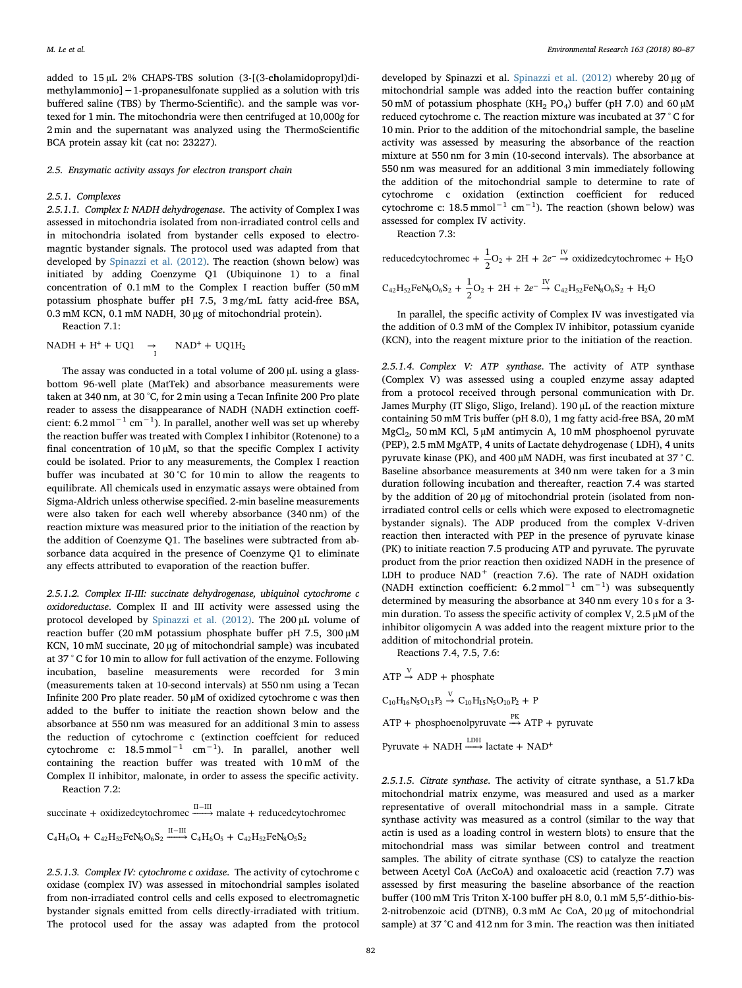added to 15 µL 2% CHAPS-TBS solution (3-[(3-cholamidopropyl)dimethylammonio]−1-propanesulfonate supplied as a solution with tris buffered saline (TBS) by Thermo-Scientific). and the sample was vortexed for 1 min. The mitochondria were then centrifuged at 10,000g for 2 min and the supernatant was analyzed using the ThermoScientific BCA protein assay kit (cat no: 23227).

2.5. Enzymatic activity assays for electron transport chain

#### 2.5.1. Complexes

2.5.1.1. Complex I: NADH dehydrogenase. The activity of Complex I was assessed in mitochondria isolated from non-irradiated control cells and in mitochondria isolated from bystander cells exposed to electromagntic bystander signals. The protocol used was adapted from that developed by [Spinazzi et al. \(2012\).](#page-7-15) The reaction (shown below) was initiated by adding Coenzyme Q1 (Ubiquinone 1) to a final concentration of 0.1 mM to the Complex I reaction buffer (50 mM potassium phosphate buffer pH 7.5, 3 mg/mL fatty acid-free BSA, 0.3 mM KCN, 0.1 mM NADH, 30 µg of mitochondrial protein).

Reaction 7.1:

 $NADH + H^{+} + UQ1 \rightarrow NAD^{+} + UQ1H_2$ 

The assay was conducted in a total volume of 200 µL using a glassbottom 96-well plate (MatTek) and absorbance measurements were taken at 340 nm, at 30 °C, for 2 min using a Tecan Infinite 200 Pro plate reader to assess the disappearance of NADH (NADH extinction coeffcient: 6.2 mmol $^{-1}$  cm $^{-1}$ ). In parallel, another well was set up whereby the reaction buffer was treated with Complex I inhibitor (Rotenone) to a final concentration of  $10 \mu$ M, so that the specific Complex I activity could be isolated. Prior to any measurements, the Complex I reaction buffer was incubated at 30 °C for 10 min to allow the reagents to equilibrate. All chemicals used in enzymatic assays were obtained from Sigma-Aldrich unless otherwise specified. 2-min baseline measurements were also taken for each well whereby absorbance (340 nm) of the reaction mixture was measured prior to the initiation of the reaction by the addition of Coenzyme Q1. The baselines were subtracted from absorbance data acquired in the presence of Coenzyme Q1 to eliminate any effects attributed to evaporation of the reaction buffer.

2.5.1.2. Complex II-III: succinate dehydrogenase, ubiquinol cytochrome c oxidoreductase. Complex II and III activity were assessed using the protocol developed by [Spinazzi et al. \(2012\).](#page-7-15) The 200 µL volume of reaction buffer (20 mM potassium phosphate buffer pH 7.5, 300 µM KCN, 10 mM succinate, 20 µg of mitochondrial sample) was incubated at 37 ° C for 10 min to allow for full activation of the enzyme. Following incubation, baseline measurements were recorded for 3 min (measurements taken at 10-second intervals) at 550 nm using a Tecan Infinite 200 Pro plate reader. 50 µM of oxidized cytochrome c was then added to the buffer to initiate the reaction shown below and the absorbance at 550 nm was measured for an additional 3 min to assess the reduction of cytochrome c (extinction coeffcient for reduced cytochrome c:  $18.5 \text{ mmol}^{-1}$  cm<sup>-1</sup>). In parallel, another well containing the reaction buffer was treated with 10 mM of the Complex II inhibitor, malonate, in order to assess the specific activity. Reaction 7.2:

succinate + oxidizedcytochromec  $\xrightarrow{\text{II--III}}$  malate + reducedcytochromec  $C_4H_6O_4 + C_{42}H_{52}FeN_8O_6S_2 \xrightarrow{\text{II--III}} C_4H_6O_5 + C_{42}H_{52}FeN_8O_5S_2$ 

2.5.1.3. Complex IV: cytochrome c oxidase. The activity of cytochrome c oxidase (complex IV) was assessed in mitochondrial samples isolated from non-irradiated control cells and cells exposed to electromagnetic bystander signals emitted from cells directly-irradiated with tritium. The protocol used for the assay was adapted from the protocol

developed by Spinazzi et al. [Spinazzi et al. \(2012\)](#page-7-15) whereby 20 µg of mitochondrial sample was added into the reaction buffer containing 50 mM of potassium phosphate (KH<sub>2</sub> PO<sub>4</sub>) buffer (pH 7.0) and 60  $\mu$ M reduced cytochrome c. The reaction mixture was incubated at 37 ° C for 10 min. Prior to the addition of the mitochondrial sample, the baseline activity was assessed by measuring the absorbance of the reaction mixture at 550 nm for 3 min (10-second intervals). The absorbance at 550 nm was measured for an additional 3 min immediately following the addition of the mitochondrial sample to determine to rate of cytochrome c oxidation (extinction coefficient for reduced cytochrome c:  $18.5 \text{ mmol}^{-1} \text{ cm}^{-1}$ ). The reaction (shown below) was assessed for complex IV activity.

Reaction 7.3:

reducedcytochrome 
$$
+\frac{1}{2}O_2 + 2H + 2e^{-\frac{IV}{2}}
$$
 oxidizedcytochrome  $+ H_2O$   
\n $C_{42}H_{52}FeN_8O_6S_2 + \frac{1}{2}O_2 + 2H + 2e^{-\frac{IV}{2}}C_{42}H_{52}FeN_8O_6S_2 + H_2O$ 

In parallel, the specific activity of Complex IV was investigated via the addition of 0.3 mM of the Complex IV inhibitor, potassium cyanide (KCN), into the reagent mixture prior to the initiation of the reaction.

2.5.1.4. Complex V: ATP synthase. The activity of ATP synthase (Complex V) was assessed using a coupled enzyme assay adapted from a protocol received through personal communication with Dr. James Murphy (IT Sligo, Sligo, Ireland). 190 µL of the reaction mixture containing 50 mM Tris buffer (pH 8.0), 1 mg fatty acid-free BSA, 20 mM MgCl<sub>2</sub>, 50 mM KCl, 5 uM antimycin A, 10 mM phosphoenol pyruvate (PEP), 2.5 mM MgATP, 4 units of Lactate dehydrogenase ( LDH), 4 units pyruvate kinase (PK), and 400 µM NADH, was first incubated at 37 ° C. Baseline absorbance measurements at 340 nm were taken for a 3 min duration following incubation and thereafter, reaction 7.4 was started by the addition of 20 µg of mitochondrial protein (isolated from nonirradiated control cells or cells which were exposed to electromagnetic bystander signals). The ADP produced from the complex V-driven reaction then interacted with PEP in the presence of pyruvate kinase (PK) to initiate reaction 7.5 producing ATP and pyruvate. The pyruvate product from the prior reaction then oxidized NADH in the presence of LDH to produce  $NAD^+$  (reaction 7.6). The rate of NADH oxidation (NADH extinction coefficient:  $6.2 \text{ mmol}^{-1} \text{ cm}^{-1}$ ) was subsequently determined by measuring the absorbance at 340 nm every 10 s for a 3 min duration. To assess the specific activity of complex V, 2.5 µM of the inhibitor oligomycin A was added into the reagent mixture prior to the addition of mitochondrial protein.

Reactions 7.4, 7.5, 7.6:

ATP 
$$
\stackrel{\text{V}}{\rightarrow}
$$
 ADP + phosphate  
\n $C_{10}H_{16}N_5O_{13}P_3 \stackrel{\text{V}}{\rightarrow} C_{10}H_{15}N_5O_{10}P_2 + P$   
\nATP + phosphoenolpyruvate  $\stackrel{PK}{\rightarrow}$  ATP + pyruvate  
\nPyruvate + NADH  $\stackrel{\text{LDH}}{\longrightarrow}$  lactate + NAD<sup>+</sup>

2.5.1.5. Citrate synthase. The activity of citrate synthase, a 51.7 kDa mitochondrial matrix enzyme, was measured and used as a marker representative of overall mitochondrial mass in a sample. Citrate synthase activity was measured as a control (similar to the way that actin is used as a loading control in western blots) to ensure that the mitochondrial mass was similar between control and treatment samples. The ability of citrate synthase (CS) to catalyze the reaction between Acetyl CoA (AcCoA) and oxaloacetic acid (reaction 7.7) was assessed by first measuring the baseline absorbance of the reaction buffer (100 mM Tris Triton X-100 buffer pH 8.0, 0.1 mM 5,5′-dithio-bis-2-nitrobenzoic acid (DTNB), 0.3 mM Ac CoA, 20 µg of mitochondrial sample) at 37 °C and 412 nm for 3 min. The reaction was then initiated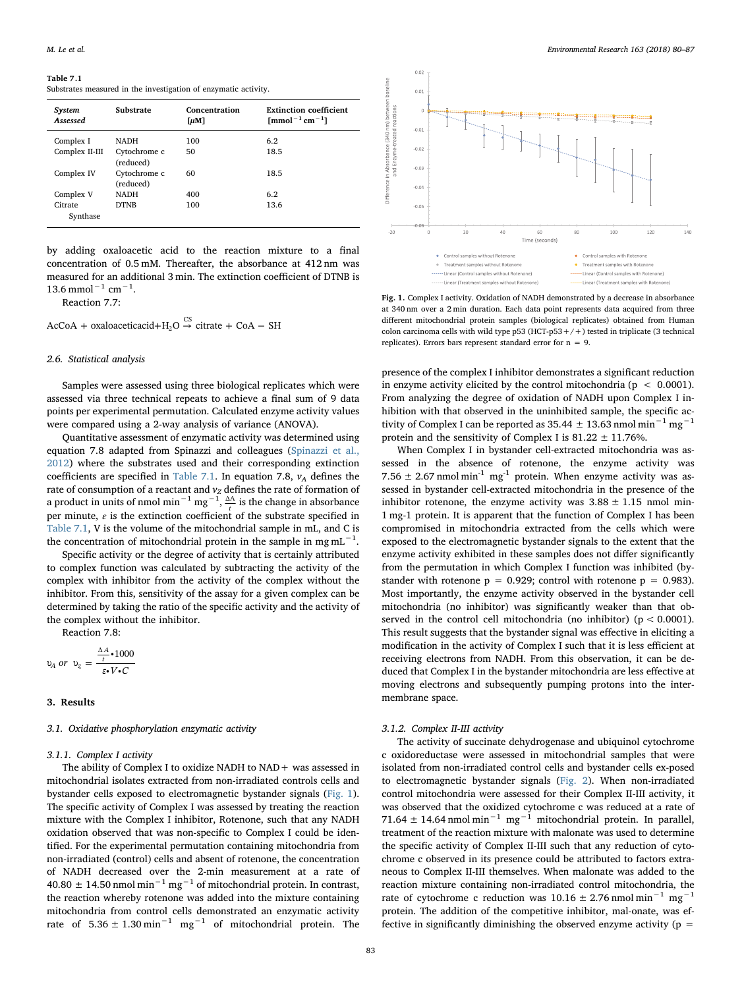#### <span id="page-3-0"></span>Table 7.1

Substrates measured in the investigation of enzymatic activity.

| System<br>Assessed  | Substrate                 | Concentration<br>[µM] | <b>Extinction coefficient</b><br>$\text{[mmol}^{-1} \text{cm}^{-1} \text{]}$ |
|---------------------|---------------------------|-----------------------|------------------------------------------------------------------------------|
| Complex I           | <b>NADH</b>               | 100                   | 6.2                                                                          |
| Complex II-III      | Cytochrome c<br>(reduced) | 50                    | 18.5                                                                         |
| Complex IV          | Cytochrome c<br>(reduced) | 60                    | 18.5                                                                         |
| Complex V           | <b>NADH</b>               | 400                   | 6.2                                                                          |
| Citrate<br>Synthase | <b>DTNB</b>               | 100                   | 13.6                                                                         |

by adding oxaloacetic acid to the reaction mixture to a final concentration of 0.5 mM. Thereafter, the absorbance at 412 nm was measured for an additional 3 min. The extinction coefficient of DTNB is  $13.6$  mmol<sup>-1</sup> cm<sup>-1</sup>.

Reaction 7.7:

 $AcCoA + oxaloacetic acid + H<sub>2</sub>O \stackrel{CS}{\rightarrow} citrate + CoA - SH$ 

## 2.6. Statistical analysis

Samples were assessed using three biological replicates which were assessed via three technical repeats to achieve a final sum of 9 data points per experimental permutation. Calculated enzyme activity values were compared using a 2-way analysis of variance (ANOVA).

Quantitative assessment of enzymatic activity was determined using equation 7.8 adapted from Spinazzi and colleagues ([Spinazzi et al.,](#page-7-15) [2012\)](#page-7-15) where the substrates used and their corresponding extinction coefficients are specified in [Table 7.1.](#page-3-0) In equation 7.8,  $v_A$  defines the rate of consumption of a reactant and  $v_Z$  defines the rate of formation of a product in units of nmol min<sup>-1</sup> mg<sup>-1</sup>,  $\frac{\Delta A}{t}$  is the change in absorbance per minute,  $\varepsilon$  is the extinction coefficient of the substrate specified in [Table 7.1,](#page-3-0) V is the volume of the mitochondrial sample in mL, and C is the concentration of mitochondrial protein in the sample in mg mL<sup>-1</sup>.

Specific activity or the degree of activity that is certainly attributed to complex function was calculated by subtracting the activity of the complex with inhibitor from the activity of the complex without the inhibitor. From this, sensitivity of the assay for a given complex can be determined by taking the ratio of the specific activity and the activity of the complex without the inhibitor.

Reaction 7.8:

$$
v_A \text{ or } v_z = \frac{\frac{\Delta A}{t} \cdot 1000}{\varepsilon \cdot V \cdot C}
$$

#### 3. Results

#### 3.1. Oxidative phosphorylation enzymatic activity

#### 3.1.1. Complex I activity

The ability of Complex I to oxidize NADH to NAD+ was assessed in mitochondrial isolates extracted from non-irradiated controls cells and bystander cells exposed to electromagnetic bystander signals ([Fig. 1](#page-3-1)). The specific activity of Complex I was assessed by treating the reaction mixture with the Complex I inhibitor, Rotenone, such that any NADH oxidation observed that was non-specific to Complex I could be identified. For the experimental permutation containing mitochondria from non-irradiated (control) cells and absent of rotenone, the concentration of NADH decreased over the 2-min measurement at a rate of  $40.80 \pm 14.50$  nmol min<sup>-1</sup> mg<sup>-1</sup> of mitochondrial protein. In contrast, the reaction whereby rotenone was added into the mixture containing mitochondria from control cells demonstrated an enzymatic activity rate of  $5.36 \pm 1.30$  min<sup>-1</sup> mg<sup>-1</sup> of mitochondrial protein. The

<span id="page-3-1"></span>

Fig. 1. Complex I activity. Oxidation of NADH demonstrated by a decrease in absorbance at 340 nm over a 2 min duration. Each data point represents data acquired from three different mitochondrial protein samples (biological replicates) obtained from Human colon carcinoma cells with wild type  $p53$  (HCT- $p53+/+)$  tested in triplicate (3 technical replicates). Errors bars represent standard error for  $n = 9$ .

presence of the complex I inhibitor demonstrates a significant reduction in enzyme activity elicited by the control mitochondria ( $p < 0.0001$ ). From analyzing the degree of oxidation of NADH upon Complex I inhibition with that observed in the uninhibited sample, the specific activity of Complex I can be reported as 35.44  $\pm$  13.63 nmol min<sup>-1</sup> mg<sup>-1</sup> protein and the sensitivity of Complex I is  $81.22 \pm 11.76\%$ .

When Complex I in bystander cell-extracted mitochondria was assessed in the absence of rotenone, the enzyme activity was 7.56  $\pm$  2.67 nmol min<sup>-1</sup> mg<sup>-1</sup> protein. When enzyme activity was assessed in bystander cell-extracted mitochondria in the presence of the inhibitor rotenone, the enzyme activity was  $3.88 \pm 1.15$  nmol min-1 mg-1 protein. It is apparent that the function of Complex I has been compromised in mitochondria extracted from the cells which were exposed to the electromagnetic bystander signals to the extent that the enzyme activity exhibited in these samples does not differ significantly from the permutation in which Complex I function was inhibited (bystander with rotenone  $p = 0.929$ ; control with rotenone  $p = 0.983$ ). Most importantly, the enzyme activity observed in the bystander cell mitochondria (no inhibitor) was significantly weaker than that observed in the control cell mitochondria (no inhibitor) ( $p < 0.0001$ ). This result suggests that the bystander signal was effective in eliciting a modification in the activity of Complex I such that it is less efficient at receiving electrons from NADH. From this observation, it can be deduced that Complex I in the bystander mitochondria are less effective at moving electrons and subsequently pumping protons into the intermembrane space.

## 3.1.2. Complex II-III activity

The activity of succinate dehydrogenase and ubiquinol cytochrome c oxidoreductase were assessed in mitochondrial samples that were isolated from non-irradiated control cells and bystander cells ex-posed to electromagnetic bystander signals ([Fig. 2](#page-4-0)). When non-irradiated control mitochondria were assessed for their Complex II-III activity, it was observed that the oxidized cytochrome c was reduced at a rate of 71.64 ± 14.64 nmol min<sup>-1</sup> mg<sup>-1</sup> mitochondrial protein. In parallel, treatment of the reaction mixture with malonate was used to determine the specific activity of Complex II-III such that any reduction of cytochrome c observed in its presence could be attributed to factors extraneous to Complex II-III themselves. When malonate was added to the reaction mixture containing non-irradiated control mitochondria, the rate of cytochrome c reduction was  $10.16 \pm 2.76$  nmol min<sup>-1</sup> mg<sup>-1</sup> protein. The addition of the competitive inhibitor, mal-onate, was effective in significantly diminishing the observed enzyme activity ( $p =$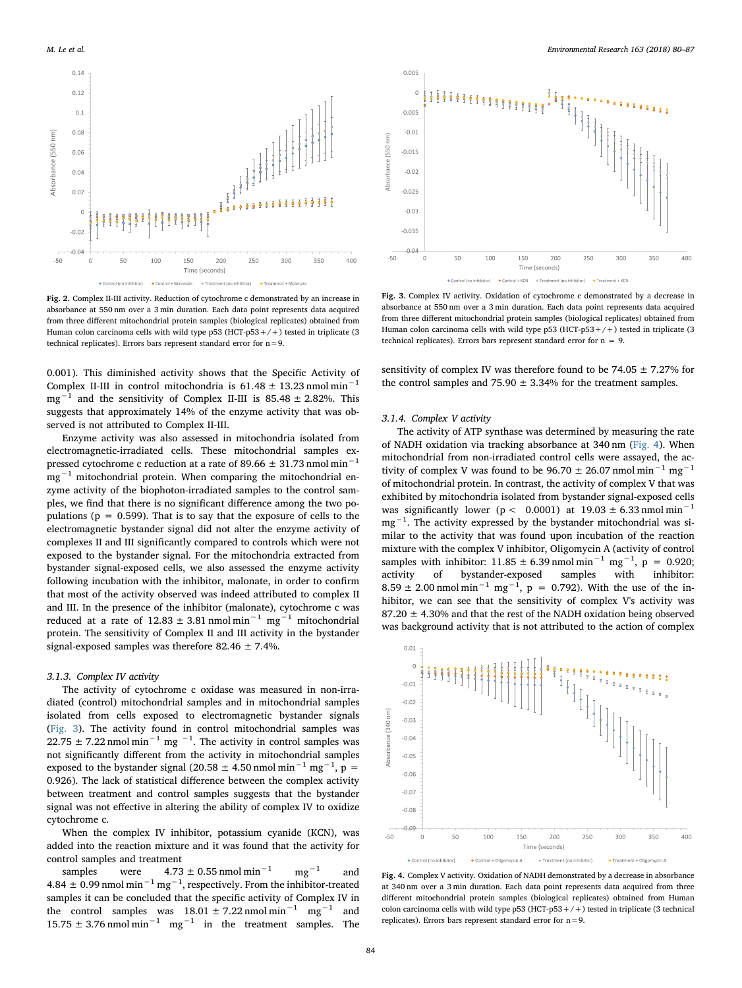<span id="page-4-0"></span>

Fig. 2. Complex II-III activity. Reduction of cytochrome c demonstrated by an increase in absorbance at 550 nm over a 3 min duration. Each data point represents data acquired from three different mitochondrial protein samples (biological replicates) obtained from Human colon carcinoma cells with wild type  $p53$  (HCT- $p53+/+)$  tested in triplicate (3) technical replicates). Errors bars represent standard error for  $n=9$ .

0.001). This diminished activity shows that the Specific Activity of Complex II-III in control mitochondria is  $61.48 \pm 13.23$  nmol min<sup>-1</sup> mg−<sup>1</sup> and the sensitivity of Complex II-III is 85.48 ± 2.82%. This suggests that approximately 14% of the enzyme activity that was observed is not attributed to Complex II-III.

Enzyme activity was also assessed in mitochondria isolated from electromagnetic-irradiated cells. These mitochondrial samples expressed cytochrome c reduction at a rate of 89.66  $\pm$  31.73 nmol min<sup>-1</sup>  $mg^{-1}$  mitochondrial protein. When comparing the mitochondrial enzyme activity of the biophoton-irradiated samples to the control samples, we find that there is no significant difference among the two populations ( $p = 0.599$ ). That is to say that the exposure of cells to the electromagnetic bystander signal did not alter the enzyme activity of complexes II and III significantly compared to controls which were not exposed to the bystander signal. For the mitochondria extracted from bystander signal-exposed cells, we also assessed the enzyme activity following incubation with the inhibitor, malonate, in order to confirm that most of the activity observed was indeed attributed to complex II and III. In the presence of the inhibitor (malonate), cytochrome c was reduced at a rate of 12.83 ± 3.81 nmol min<sup>-1</sup> mg<sup>-1</sup> mitochondrial protein. The sensitivity of Complex II and III activity in the bystander signal-exposed samples was therefore 82.46  $\pm$  7.4%.

## 3.1.3. Complex IV activity

The activity of cytochrome c oxidase was measured in non-irradiated (control) mitochondrial samples and in mitochondrial samples isolated from cells exposed to electromagnetic bystander signals ([Fig. 3\)](#page-4-1). The activity found in control mitochondrial samples was 22.75  $\pm$  7.22 nmol min<sup>-1</sup> mg<sup>-1</sup>. The activity in control samples was not significantly different from the activity in mitochondrial samples exposed to the bystander signal (20.58  $\pm$  4.50 nmol min<sup>-1</sup> mg<sup>-1</sup>, p = 0.926). The lack of statistical difference between the complex activity between treatment and control samples suggests that the bystander signal was not effective in altering the ability of complex IV to oxidize cytochrome c.

When the complex IV inhibitor, potassium cyanide (KCN), was added into the reaction mixture and it was found that the activity for control samples and treatment

samples were  $4.73 \pm 0.55$  nmol min<sup>-1</sup> mg<sup>-1</sup> and 4.84  $\pm$  0.99 nmol min<sup>-1</sup> mg<sup>-1</sup>, respectively. From the inhibitor-treated samples it can be concluded that the specific activity of Complex IV in the control samples was  $18.01 \pm 7.22$  nmol min<sup>-1</sup> mg<sup>-1</sup> and  $15.75 \pm 3.76$  nmol min<sup>-1</sup> mg<sup>-1</sup> in the treatment samples. The

<span id="page-4-1"></span>

Fig. 3. Complex IV activity. Oxidation of cytochrome c demonstrated by a decrease in absorbance at 550 nm over a 3 min duration. Each data point represents data acquired from three different mitochondrial protein samples (biological replicates) obtained from Human colon carcinoma cells with wild type  $p53$  (HCT- $p53+/+)$  tested in triplicate (3 technical replicates). Errors bars represent standard error for  $n = 9$ .

sensitivity of complex IV was therefore found to be  $74.05 \pm 7.27\%$  for the control samples and 75.90  $\pm$  3.34% for the treatment samples.

## 3.1.4. Complex V activity

The activity of ATP synthase was determined by measuring the rate of NADH oxidation via tracking absorbance at 340 nm [\(Fig. 4](#page-4-2)). When mitochondrial from non-irradiated control cells were assayed, the activity of complex V was found to be 96.70 ± 26.07 nmol min<sup>-1</sup> mg<sup>-1</sup> of mitochondrial protein. In contrast, the activity of complex V that was exhibited by mitochondria isolated from bystander signal-exposed cells was significantly lower (p < 0.0001) at  $19.03 \pm 6.33$  nmol min<sup>-1</sup> mg<sup>-1</sup>. The activity expressed by the bystander mitochondrial was similar to the activity that was found upon incubation of the reaction mixture with the complex V inhibitor, Oligomycin A (activity of control samples with inhibitor:  $11.85 \pm 6.39$  nmol min<sup>-1</sup> mg<sup>-1</sup>, p = 0.920; activity of bystander-exposed samples with inhibitor: 8.59  $\pm$  2.00 nmol min<sup>-1</sup> mg<sup>-1</sup>, p = 0.792). With the use of the inhibitor, we can see that the sensitivity of complex V's activity was 87.20  $\pm$  4.30% and that the rest of the NADH oxidation being observed was background activity that is not attributed to the action of complex

<span id="page-4-2"></span>

Fig. 4. Complex V activity. Oxidation of NADH demonstrated by a decrease in absorbance at 340 nm over a 3 min duration. Each data point represents data acquired from three different mitochondrial protein samples (biological replicates) obtained from Human colon carcinoma cells with wild type  $p53$  (HCT- $p53+/+)$ ) tested in triplicate (3 technical replicates). Errors bars represent standard error for n=9.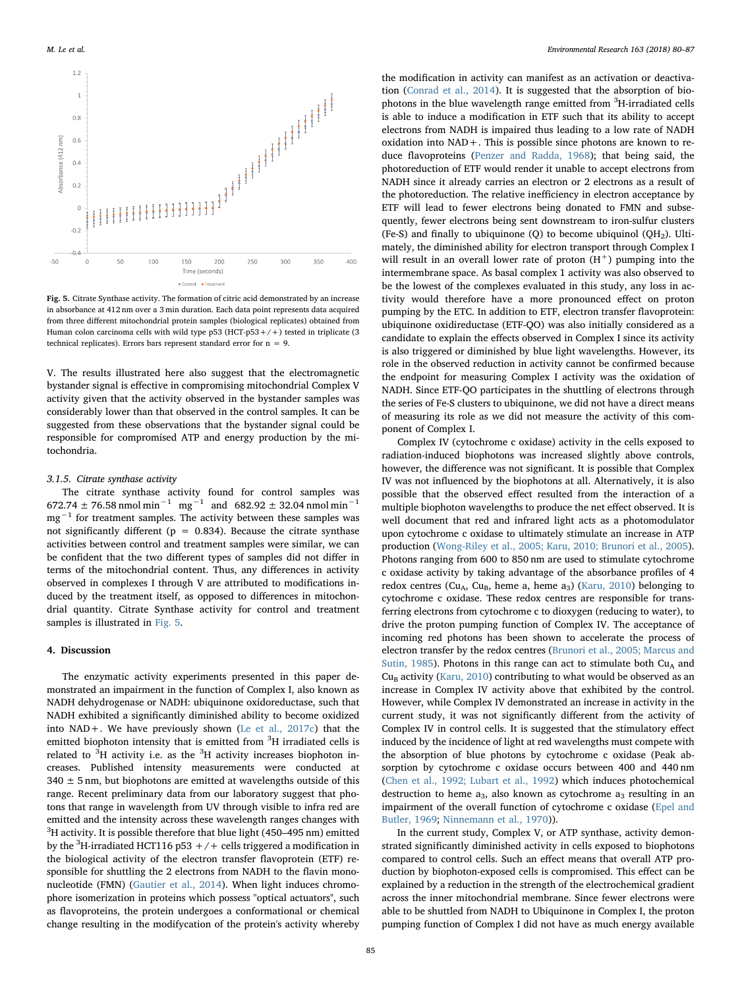<span id="page-5-0"></span>

Fig. 5. Citrate Synthase activity. The formation of citric acid demonstrated by an increase in absorbance at 412 nm over a 3 min duration. Each data point represents data acquired from three different mitochondrial protein samples (biological replicates) obtained from Human colon carcinoma cells with wild type  $p53$  (HCT- $p53+/+)$  tested in triplicate (3) technical replicates). Errors bars represent standard error for  $n = 9$ .

V. The results illustrated here also suggest that the electromagnetic bystander signal is effective in compromising mitochondrial Complex V activity given that the activity observed in the bystander samples was considerably lower than that observed in the control samples. It can be suggested from these observations that the bystander signal could be responsible for compromised ATP and energy production by the mitochondria.

#### 3.1.5. Citrate synthase activity

The citrate synthase activity found for control samples was 672.74 ± 76.58 nmol min<sup>-1</sup> mg<sup>-1</sup> and 682.92 ± 32.04 nmol min<sup>-1</sup> mg<sup>-1</sup> for treatment samples. The activity between these samples was not significantly different ( $p = 0.834$ ). Because the citrate synthase activities between control and treatment samples were similar, we can be confident that the two different types of samples did not differ in terms of the mitochondrial content. Thus, any differences in activity observed in complexes I through V are attributed to modifications induced by the treatment itself, as opposed to differences in mitochondrial quantity. Citrate Synthase activity for control and treatment samples is illustrated in [Fig. 5.](#page-5-0)

#### 4. Discussion

The enzymatic activity experiments presented in this paper demonstrated an impairment in the function of Complex I, also known as NADH dehydrogenase or NADH: ubiquinone oxidoreductase, such that NADH exhibited a significantly diminished ability to become oxidized into NAD+. We have previously shown [\(Le et al., 2017c](#page-7-16)) that the emitted biophoton intensity that is emitted from <sup>3</sup>H irradiated cells is related to  $3H$  activity i.e. as the  $3H$  activity increases biophoton increases. Published intensity measurements were conducted at  $340 \pm 5$  nm, but biophotons are emitted at wavelengths outside of this range. Recent preliminary data from our laboratory suggest that photons that range in wavelength from UV through visible to infra red are emitted and the intensity across these wavelength ranges changes with  ${}^{3}\text{H}$  activity. It is possible therefore that blue light (450–495 nm) emitted by the  $^3$ H-irradiated HCT116 p53  $+$  /  $+$  cells triggered a modification in the biological activity of the electron transfer flavoprotein (ETF) responsible for shuttling the 2 electrons from NADH to the flavin mononucleotide (FMN) ([Gautier et al., 2014](#page-7-17)). When light induces chromophore isomerization in proteins which possess "optical actuators", such as flavoproteins, the protein undergoes a conformational or chemical change resulting in the modifycation of the protein's activity whereby

the modification in activity can manifest as an activation or deactivation ([Conrad et al., 2014\)](#page-6-7). It is suggested that the absorption of biophotons in the blue wavelength range emitted from <sup>3</sup>H-irradiated cells is able to induce a modification in ETF such that its ability to accept electrons from NADH is impaired thus leading to a low rate of NADH oxidation into NAD+. This is possible since photons are known to reduce flavoproteins [\(Penzer and Radda, 1968\)](#page-7-18); that being said, the photoreduction of ETF would render it unable to accept electrons from NADH since it already carries an electron or 2 electrons as a result of the photoreduction. The relative inefficiency in electron acceptance by ETF will lead to fewer electrons being donated to FMN and subsequently, fewer electrons being sent downstream to iron-sulfur clusters (Fe-S) and finally to ubiquinone (O) to become ubiquinol (OH<sub>2</sub>). Ultimately, the diminished ability for electron transport through Complex I will result in an overall lower rate of proton  $(H<sup>+</sup>)$  pumping into the intermembrane space. As basal complex 1 activity was also observed to be the lowest of the complexes evaluated in this study, any loss in activity would therefore have a more pronounced effect on proton pumping by the ETC. In addition to ETF, electron transfer flavoprotein: ubiquinone oxidireductase (ETF-QO) was also initially considered as a candidate to explain the effects observed in Complex I since its activity is also triggered or diminished by blue light wavelengths. However, its role in the observed reduction in activity cannot be confirmed because the endpoint for measuring Complex I activity was the oxidation of NADH. Since ETF-QO participates in the shuttling of electrons through the series of Fe-S clusters to ubiquinone, we did not have a direct means of measuring its role as we did not measure the activity of this component of Complex I.

Complex IV (cytochrome c oxidase) activity in the cells exposed to radiation-induced biophotons was increased slightly above controls, however, the difference was not significant. It is possible that Complex IV was not influenced by the biophotons at all. Alternatively, it is also possible that the observed effect resulted from the interaction of a multiple biophoton wavelengths to produce the net effect observed. It is well document that red and infrared light acts as a photomodulator upon cytochrome c oxidase to ultimately stimulate an increase in ATP production ([Wong-Riley et al., 2005; Karu, 2010; Brunori et al., 2005](#page-7-19)). Photons ranging from 600 to 850 nm are used to stimulate cytochrome c oxidase activity by taking advantage of the absorbance profiles of 4 redox centres (Cu<sub>A</sub>, Cu<sub>B</sub>, heme a, heme a<sub>3</sub>) [\(Karu, 2010\)](#page-7-20) belonging to cytochrome c oxidase. These redox centres are responsible for transferring electrons from cytochrome c to dioxygen (reducing to water), to drive the proton pumping function of Complex IV. The acceptance of incoming red photons has been shown to accelerate the process of electron transfer by the redox centres [\(Brunori et al., 2005; Marcus and](#page-6-8) [Sutin, 1985\)](#page-6-8). Photons in this range can act to stimulate both  $Cu<sub>A</sub>$  and  $Cu<sub>B</sub>$  activity [\(Karu, 2010](#page-7-20)) contributing to what would be observed as an increase in Complex IV activity above that exhibited by the control. However, while Complex IV demonstrated an increase in activity in the current study, it was not significantly different from the activity of Complex IV in control cells. It is suggested that the stimulatory effect induced by the incidence of light at red wavelengths must compete with the absorption of blue photons by cytochrome c oxidase (Peak absorption by cytochrome c oxidase occurs between 400 and 440 nm ([Chen et al., 1992; Lubart et al., 1992](#page-6-9)) which induces photochemical destruction to heme  $a_3$ , also known as cytochrome  $a_3$  resulting in an impairment of the overall function of cytochrome c oxidase [\(Epel and](#page-6-10) [Butler, 1969;](#page-6-10) [Ninnemann et al., 1970](#page-7-21))).

In the current study, Complex V, or ATP synthase, activity demonstrated significantly diminished activity in cells exposed to biophotons compared to control cells. Such an effect means that overall ATP production by biophoton-exposed cells is compromised. This effect can be explained by a reduction in the strength of the electrochemical gradient across the inner mitochondrial membrane. Since fewer electrons were able to be shuttled from NADH to Ubiquinone in Complex I, the proton pumping function of Complex I did not have as much energy available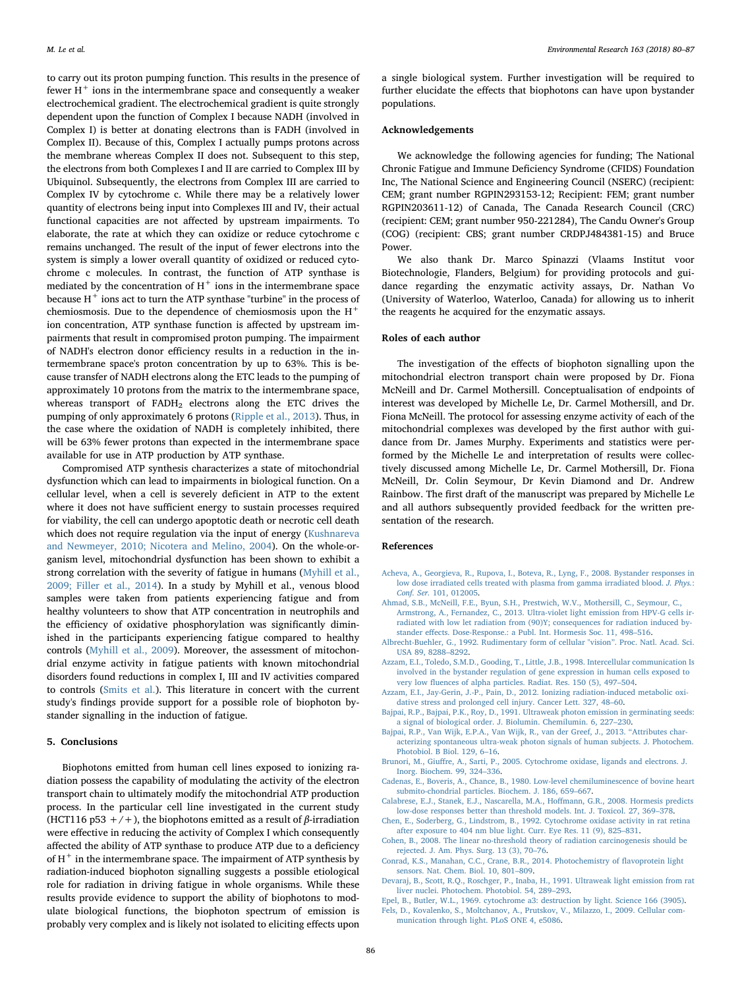to carry out its proton pumping function. This results in the presence of fewer  $H^+$  ions in the intermembrane space and consequently a weaker electrochemical gradient. The electrochemical gradient is quite strongly dependent upon the function of Complex I because NADH (involved in Complex I) is better at donating electrons than is FADH (involved in Complex II). Because of this, Complex I actually pumps protons across the membrane whereas Complex II does not. Subsequent to this step, the electrons from both Complexes I and II are carried to Complex III by Ubiquinol. Subsequently, the electrons from Complex III are carried to Complex IV by cytochrome c. While there may be a relatively lower quantity of electrons being input into Complexes III and IV, their actual functional capacities are not affected by upstream impairments. To elaborate, the rate at which they can oxidize or reduce cytochrome c remains unchanged. The result of the input of fewer electrons into the system is simply a lower overall quantity of oxidized or reduced cytochrome c molecules. In contrast, the function of ATP synthase is mediated by the concentration of  $H^+$  ions in the intermembrane space because  $H^+$  ions act to turn the ATP synthase "turbine" in the process of chemiosmosis. Due to the dependence of chemiosmosis upon the  $H^+$ ion concentration, ATP synthase function is affected by upstream impairments that result in compromised proton pumping. The impairment of NADH's electron donor efficiency results in a reduction in the intermembrane space's proton concentration by up to 63%. This is because transfer of NADH electrons along the ETC leads to the pumping of approximately 10 protons from the matrix to the intermembrane space, whereas transport of  $FADH<sub>2</sub>$  electrons along the ETC drives the pumping of only approximately 6 protons ([Ripple et al., 2013](#page-7-22)). Thus, in the case where the oxidation of NADH is completely inhibited, there will be 63% fewer protons than expected in the intermembrane space available for use in ATP production by ATP synthase.

Compromised ATP synthesis characterizes a state of mitochondrial dysfunction which can lead to impairments in biological function. On a cellular level, when a cell is severely deficient in ATP to the extent where it does not have sufficient energy to sustain processes required for viability, the cell can undergo apoptotic death or necrotic cell death which does not require regulation via the input of energy [\(Kushnareva](#page-7-23) [and Newmeyer, 2010; Nicotera and Melino, 2004](#page-7-23)). On the whole-organism level, mitochondrial dysfunction has been shown to exhibit a strong correlation with the severity of fatigue in humans [\(Myhill et al.,](#page-7-24) [2009; Filler et al., 2014](#page-7-24)). In a study by Myhill et al., venous blood samples were taken from patients experiencing fatigue and from healthy volunteers to show that ATP concentration in neutrophils and the efficiency of oxidative phosphorylation was significantly diminished in the participants experiencing fatigue compared to healthy controls ([Myhill et al., 2009](#page-7-24)). Moreover, the assessment of mitochondrial enzyme activity in fatigue patients with known mitochondrial disorders found reductions in complex I, III and IV activities compared to controls [\(Smits et al.\)](#page-7-25). This literature in concert with the current study's findings provide support for a possible role of biophoton bystander signalling in the induction of fatigue.

## 5. Conclusions

Biophotons emitted from human cell lines exposed to ionizing radiation possess the capability of modulating the activity of the electron transport chain to ultimately modify the mitochondrial ATP production process. In the particular cell line investigated in the current study (HCT116 p53 +/+), the biophotons emitted as a result of  $\beta$ -irradiation were effective in reducing the activity of Complex I which consequently affected the ability of ATP synthase to produce ATP due to a deficiency of  $H^+$  in the intermembrane space. The impairment of ATP synthesis by radiation-induced biophoton signalling suggests a possible etiological role for radiation in driving fatigue in whole organisms. While these results provide evidence to support the ability of biophotons to modulate biological functions, the biophoton spectrum of emission is probably very complex and is likely not isolated to eliciting effects upon

a single biological system. Further investigation will be required to further elucidate the effects that biophotons can have upon bystander populations.

## Acknowledgements

We acknowledge the following agencies for funding; The National Chronic Fatigue and Immune Deficiency Syndrome (CFIDS) Foundation Inc, The National Science and Engineering Council (NSERC) (recipient: CEM; grant number RGPIN293153-12; Recipient: FEM; grant number RGPIN203611-12) of Canada, The Canada Research Council (CRC) (recipient: CEM; grant number 950-221284), The Candu Owner's Group (COG) (recipient: CBS; grant number CRDPJ484381-15) and Bruce Power.

We also thank Dr. Marco Spinazzi (Vlaams Institut voor Biotechnologie, Flanders, Belgium) for providing protocols and guidance regarding the enzymatic activity assays, Dr. Nathan Vo (University of Waterloo, Waterloo, Canada) for allowing us to inherit the reagents he acquired for the enzymatic assays.

## Roles of each author

The investigation of the effects of biophoton signalling upon the mitochondrial electron transport chain were proposed by Dr. Fiona McNeill and Dr. Carmel Mothersill. Conceptualisation of endpoints of interest was developed by Michelle Le, Dr. Carmel Mothersill, and Dr. Fiona McNeill. The protocol for assessing enzyme activity of each of the mitochondrial complexes was developed by the first author with guidance from Dr. James Murphy. Experiments and statistics were performed by the Michelle Le and interpretation of results were collectively discussed among Michelle Le, Dr. Carmel Mothersill, Dr. Fiona McNeill, Dr. Colin Seymour, Dr Kevin Diamond and Dr. Andrew Rainbow. The first draft of the manuscript was prepared by Michelle Le and all authors subsequently provided feedback for the written presentation of the research.

## References

- [Acheva, A., Georgieva, R., Rupova, I., Boteva, R., Lyng, F., 2008. Bystander responses in](http://refhub.elsevier.com/S0013-9351(18)30028-8/sbref1) [low dose irradiated cells treated with plasma from gamma irradiated blood.](http://refhub.elsevier.com/S0013-9351(18)30028-8/sbref1) J. Phys.: Conf. Ser. [101, 012005.](http://refhub.elsevier.com/S0013-9351(18)30028-8/sbref1)
- <span id="page-6-3"></span>[Ahmad, S.B., McNeill, F.E., Byun, S.H., Prestwich, W.V., Mothersill, C., Seymour, C.,](http://refhub.elsevier.com/S0013-9351(18)30028-8/sbref2) [Armstrong, A., Fernandez, C., 2013. Ultra-violet light emission from HPV-G cells ir](http://refhub.elsevier.com/S0013-9351(18)30028-8/sbref2)[radiated with low let radiation from \(90\)Y; consequences for radiation induced by](http://refhub.elsevier.com/S0013-9351(18)30028-8/sbref2)stander eff[ects. Dose-Response.: a Publ. Int. Hormesis Soc. 11, 498](http://refhub.elsevier.com/S0013-9351(18)30028-8/sbref2)–516.
- [Albrecht-Buehler, G., 1992. Rudimentary form of cellular "vision](http://refhub.elsevier.com/S0013-9351(18)30028-8/sbref3)". Proc. Natl. Acad. Sci. [USA 89, 8288](http://refhub.elsevier.com/S0013-9351(18)30028-8/sbref3)–8292.
- <span id="page-6-2"></span>[Azzam, E.I., Toledo, S.M.D., Gooding, T., Little, J.B., 1998. Intercellular communication Is](http://refhub.elsevier.com/S0013-9351(18)30028-8/sbref4) [involved in the bystander regulation of gene expression in human cells exposed to](http://refhub.elsevier.com/S0013-9351(18)30028-8/sbref4) very low fl[uences of alpha particles. Radiat. Res. 150 \(5\), 497](http://refhub.elsevier.com/S0013-9351(18)30028-8/sbref4)–504.
- <span id="page-6-6"></span>[Azzam, E.I., Jay-Gerin, J.-P., Pain, D., 2012. Ionizing radiation-induced metabolic oxi](http://refhub.elsevier.com/S0013-9351(18)30028-8/sbref5)[dative stress and prolonged cell injury. Cancer Lett. 327, 48](http://refhub.elsevier.com/S0013-9351(18)30028-8/sbref5)–60.
- [Bajpai, R.P., Bajpai, P.K., Roy, D., 1991. Ultraweak photon emission in germinating seeds:](http://refhub.elsevier.com/S0013-9351(18)30028-8/sbref6) [a signal of biological order. J. Biolumin. Chemilumin. 6, 227](http://refhub.elsevier.com/S0013-9351(18)30028-8/sbref6)–230.
- <span id="page-6-4"></span>[Bajpai, R.P., Van Wijk, E.P.A., Van Wijk, R., van der Greef, J., 2013.](http://refhub.elsevier.com/S0013-9351(18)30028-8/sbref7) "Attributes char[acterizing spontaneous ultra-weak photon signals of human subjects. J. Photochem.](http://refhub.elsevier.com/S0013-9351(18)30028-8/sbref7) [Photobiol. B Biol. 129, 6](http://refhub.elsevier.com/S0013-9351(18)30028-8/sbref7)–16.
- <span id="page-6-8"></span>Brunori, M., Giuff[re, A., Sarti, P., 2005. Cytochrome oxidase, ligands and electrons. J.](http://refhub.elsevier.com/S0013-9351(18)30028-8/sbref8) [Inorg. Biochem. 99, 324](http://refhub.elsevier.com/S0013-9351(18)30028-8/sbref8)–336.
- <span id="page-6-5"></span>[Cadenas, E., Boveris, A., Chance, B., 1980. Low-level chemiluminescence of bovine heart](http://refhub.elsevier.com/S0013-9351(18)30028-8/sbref9) [submito-chondrial particles. Biochem. J. 186, 659](http://refhub.elsevier.com/S0013-9351(18)30028-8/sbref9)–667.
- <span id="page-6-0"></span>[Calabrese, E.J., Stanek, E.J., Nascarella, M.A., Ho](http://refhub.elsevier.com/S0013-9351(18)30028-8/sbref10)ffmann, G.R., 2008. Hormesis predicts [low-dose responses better than threshold models. Int. J. Toxicol. 27, 369](http://refhub.elsevier.com/S0013-9351(18)30028-8/sbref10)–378.
- <span id="page-6-9"></span>[Chen, E., Soderberg, G., Lindstrom, B., 1992. Cytochrome oxidase activity in rat retina](http://refhub.elsevier.com/S0013-9351(18)30028-8/sbref11) [after exposure to 404 nm blue light. Curr. Eye Res. 11 \(9\), 825](http://refhub.elsevier.com/S0013-9351(18)30028-8/sbref11)–831.
- <span id="page-6-1"></span>[Cohen, B., 2008. The linear no-threshold theory of radiation carcinogenesis should be](http://refhub.elsevier.com/S0013-9351(18)30028-8/sbref12) [rejected. J. Am. Phys. Surg. 13 \(3\), 70](http://refhub.elsevier.com/S0013-9351(18)30028-8/sbref12)–76.
- <span id="page-6-7"></span>[Conrad, K.S., Manahan, C.C., Crane, B.R., 2014. Photochemistry of](http://refhub.elsevier.com/S0013-9351(18)30028-8/sbref13) flavoprotein light [sensors. Nat. Chem. Biol. 10, 801](http://refhub.elsevier.com/S0013-9351(18)30028-8/sbref13)–809.
- [Devaraj, B., Scott, R.Q., Roschger, P., Inaba, H., 1991. Ultraweak light emission from rat](http://refhub.elsevier.com/S0013-9351(18)30028-8/sbref14) [liver nuclei. Photochem. Photobiol. 54, 289](http://refhub.elsevier.com/S0013-9351(18)30028-8/sbref14)–293.
- <span id="page-6-10"></span>[Epel, B., Butler, W.L., 1969. cytochrome a3: destruction by light. Science 166 \(3905\)](http://refhub.elsevier.com/S0013-9351(18)30028-8/sbref15). [Fels, D., Kovalenko, S., Moltchanov, A., Prutskov, V., Milazzo, I., 2009. Cellular com](http://refhub.elsevier.com/S0013-9351(18)30028-8/sbref16)[munication through light. PLoS ONE 4, e5086](http://refhub.elsevier.com/S0013-9351(18)30028-8/sbref16).